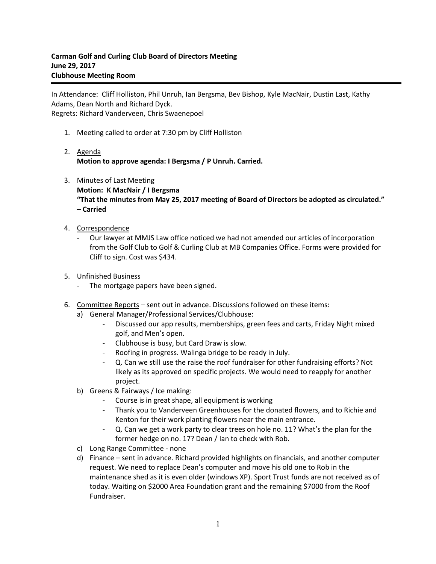In Attendance: Cliff Holliston, Phil Unruh, Ian Bergsma, Bev Bishop, Kyle MacNair, Dustin Last, Kathy Adams, Dean North and Richard Dyck. Regrets: Richard Vanderveen, Chris Swaenepoel

- 1. Meeting called to order at 7:30 pm by Cliff Holliston
- 2. Agenda **Motion to approve agenda: I Bergsma / P Unruh. Carried.**
- 3. Minutes of Last Meeting **Motion: K MacNair / I Bergsma "That the minutes from May 25, 2017 meeting of Board of Directors be adopted as circulated." – Carried**
- 4. Correspondence
	- Our lawyer at MMJS Law office noticed we had not amended our articles of incorporation from the Golf Club to Golf & Curling Club at MB Companies Office. Forms were provided for Cliff to sign. Cost was \$434.
- 5. Unfinished Business
	- The mortgage papers have been signed.
- 6. Committee Reports sent out in advance. Discussions followed on these items:
	- a) General Manager/Professional Services/Clubhouse:
		- Discussed our app results, memberships, green fees and carts, Friday Night mixed golf, and Men's open.
		- Clubhouse is busy, but Card Draw is slow.
		- Roofing in progress. Walinga bridge to be ready in July.
		- Q. Can we still use the raise the roof fundraiser for other fundraising efforts? Not likely as its approved on specific projects. We would need to reapply for another project.
	- b) Greens & Fairways / Ice making:
		- Course is in great shape, all equipment is working
		- Thank you to Vanderveen Greenhouses for the donated flowers, and to Richie and Kenton for their work planting flowers near the main entrance.
		- Q. Can we get a work party to clear trees on hole no. 11? What's the plan for the former hedge on no. 17? Dean / Ian to check with Rob.
	- c) Long Range Committee none
	- d) Finance sent in advance. Richard provided highlights on financials, and another computer request. We need to replace Dean's computer and move his old one to Rob in the maintenance shed as it is even older (windows XP). Sport Trust funds are not received as of today. Waiting on \$2000 Area Foundation grant and the remaining \$7000 from the Roof Fundraiser.